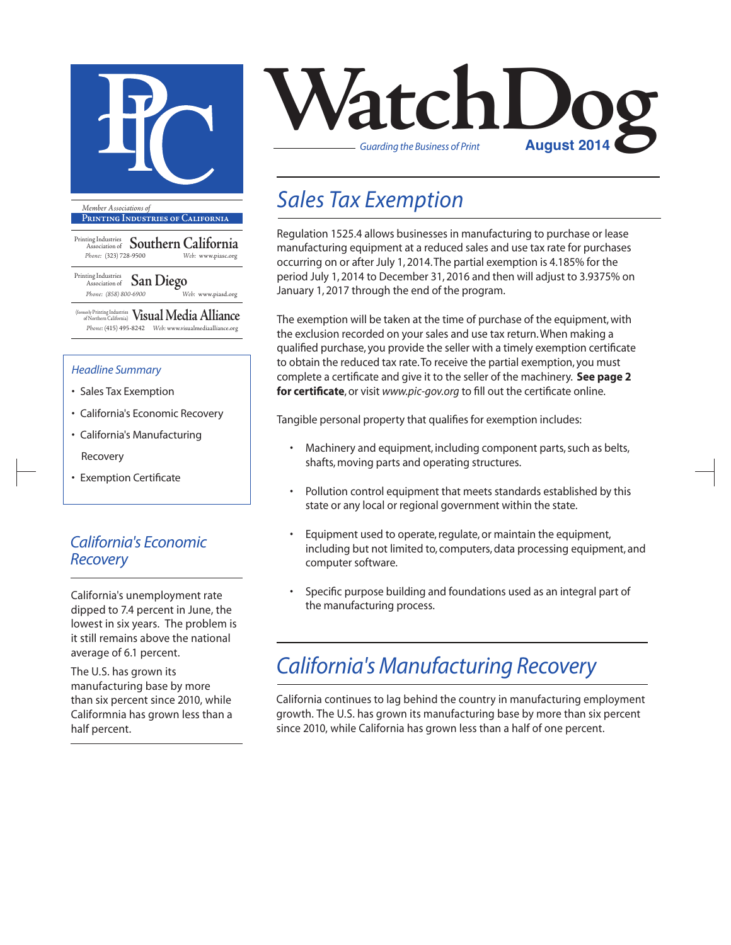

**Printing Industries of California**

Printing Industries Association of **Southern California** *Phone:* (323) 728-9500 *Web:* www.piasc.org

Printing Industries Association of **San Diego** *Phone: (858) 800-6900 Web:* www.piasd.org

(formerly Printing Industries of Northern California) **Visual Media Alliance** *Phone:* (415) 495-8242 *Web:* www.visualmediaalliance.org

#### *Headline Summary*

- Sales Tax Exemption
- California's Economic Recovery
- California's Manufacturing Recovery
- Exemption Certificate

### *California's Economic Recovery*

California's unemployment rate dipped to 7.4 percent in June, the lowest in six years. The problem is it still remains above the national average of 6.1 percent.

The U.S. has grown its manufacturing base by more than six percent since 2010, while Califormnia has grown less than a half percent.



## *Sales Tax Exemption*

Regulation 1525.4 allows businesses in manufacturing to purchase or lease manufacturing equipment at a reduced sales and use tax rate for purchases occurring on or after July 1, 2014. The partial exemption is 4.185% for the period July 1, 2014 to December 31, 2016 and then will adjust to 3.9375% on January 1, 2017 through the end of the program.

The exemption will be taken at the time of purchase of the equipment, with the exclusion recorded on your sales and use tax return. When making a qualified purchase, you provide the seller with a timely exemption certificate to obtain the reduced tax rate. To receive the partial exemption, you must complete a certificate and give it to the seller of the machinery. **See page 2 for certificate**, or visit *www.pic-gov.org* to fill out the certificate online.

Tangible personal property that qualifies for exemption includes:

- Machinery and equipment, including component parts, such as belts, shafts, moving parts and operating structures.
- Pollution control equipment that meets standards established by this state or any local or regional government within the state.
- Equipment used to operate, regulate, or maintain the equipment, including but not limited to, computers, data processing equipment, and computer software.
- Specific purpose building and foundations used as an integral part of the manufacturing process.

# *California's Manufacturing Recovery*

California continues to lag behind the country in manufacturing employment growth. The U.S. has grown its manufacturing base by more than six percent since 2010, while California has grown less than a half of one percent.